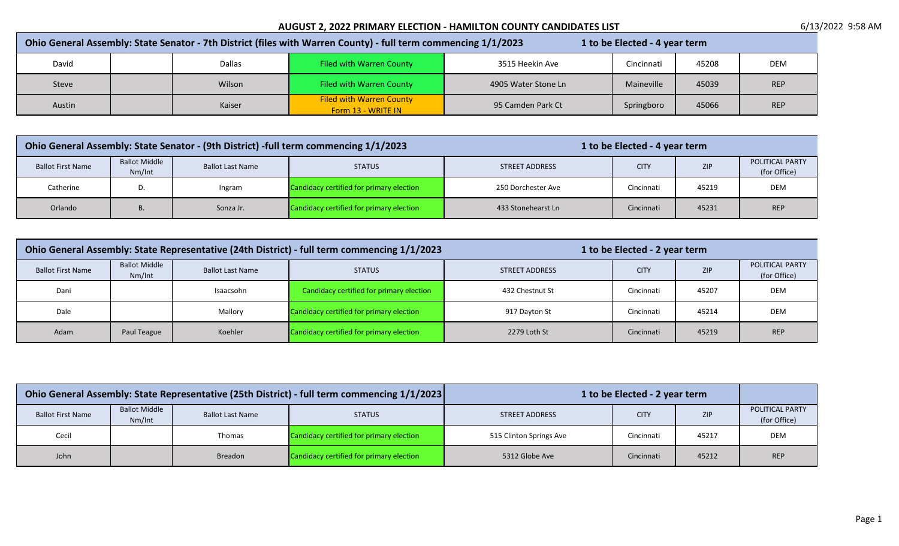| Ohio General Assembly: State Senator - 7th District (files with Warren County) - full term commencing 1/1/2023<br>1 to be Elected - 4 year term |  |        |                                                       |                     |            |       |            |
|-------------------------------------------------------------------------------------------------------------------------------------------------|--|--------|-------------------------------------------------------|---------------------|------------|-------|------------|
| David                                                                                                                                           |  | Dallas | <b>Filed with Warren County</b>                       | 3515 Heekin Ave     | Cincinnati | 45208 | <b>DEM</b> |
| Steve                                                                                                                                           |  | Wilson | Filed with Warren County                              | 4905 Water Stone Ln | Maineville | 45039 | <b>REP</b> |
| Austin                                                                                                                                          |  | Kaiser | <b>Filed with Warren County</b><br>Form 13 - WRITE IN | 95 Camden Park Ct   | Springboro | 45066 | <b>REP</b> |

| Ohio General Assembly: State Senator - (9th District) -full term commencing 1/1/2023 |                                |                         | 1 to be Elected - 4 year term            |                    |             |            |                                        |
|--------------------------------------------------------------------------------------|--------------------------------|-------------------------|------------------------------------------|--------------------|-------------|------------|----------------------------------------|
| <b>Ballot First Name</b>                                                             | <b>Ballot Middle</b><br>Nm/Int | <b>Ballot Last Name</b> | <b>STATUS</b>                            | STREET ADDRESS     | <b>CITY</b> | <b>ZIP</b> | <b>POLITICAL PARTY</b><br>(for Office) |
| Catherine                                                                            |                                | Ingram                  | Candidacy certified for primary election | 250 Dorchester Ave | Cincinnati  | 45219      | <b>DEM</b>                             |
| Orlando                                                                              |                                | Sonza Jr.               | Candidacy certified for primary election | 433 Stonehearst Ln | Cincinnati  | 45231      | <b>REP</b>                             |

| Ohio General Assembly: State Representative (24th District) - full term commencing 1/1/2023 |                                |                         |                                          | 1 to be Elected - 2 year term |             |            |                                 |
|---------------------------------------------------------------------------------------------|--------------------------------|-------------------------|------------------------------------------|-------------------------------|-------------|------------|---------------------------------|
| <b>Ballot First Name</b>                                                                    | <b>Ballot Middle</b><br>Nm/Int | <b>Ballot Last Name</b> | <b>STATUS</b>                            | STREET ADDRESS                | <b>CITY</b> | <b>ZIP</b> | POLITICAL PARTY<br>(for Office) |
| Dani                                                                                        |                                | Isaacsohn               | Candidacy certified for primary election | 432 Chestnut St               | Cincinnati  | 45207      | <b>DEM</b>                      |
| Dale                                                                                        |                                | Mallory                 | Candidacy certified for primary election | 917 Dayton St                 | Cincinnati  | 45214      | DEM                             |
| Adam                                                                                        | Paul Teague                    | Koehler                 | Candidacy certified for primary election | 2279 Loth St                  | Cincinnati  | 45219      | <b>REP</b>                      |

| Ohio General Assembly: State Representative (25th District) - full term commencing 1/1/2023 |                                |                         | 1 to be Elected - 2 year term            |                         |             |            |                                        |
|---------------------------------------------------------------------------------------------|--------------------------------|-------------------------|------------------------------------------|-------------------------|-------------|------------|----------------------------------------|
| <b>Ballot First Name</b>                                                                    | <b>Ballot Middle</b><br>Nm/Int | <b>Ballot Last Name</b> | <b>STATUS</b>                            | STREET ADDRESS          | <b>CITY</b> | <b>ZIP</b> | <b>POLITICAL PARTY</b><br>(for Office) |
| Cecil                                                                                       |                                | Thomas                  | Candidacy certified for primary election | 515 Clinton Springs Ave | Cincinnati  | 45217      | DEM                                    |
| John                                                                                        |                                | Breadon                 | Candidacy certified for primary election | 5312 Globe Ave          | Cincinnati  | 45212      | <b>REP</b>                             |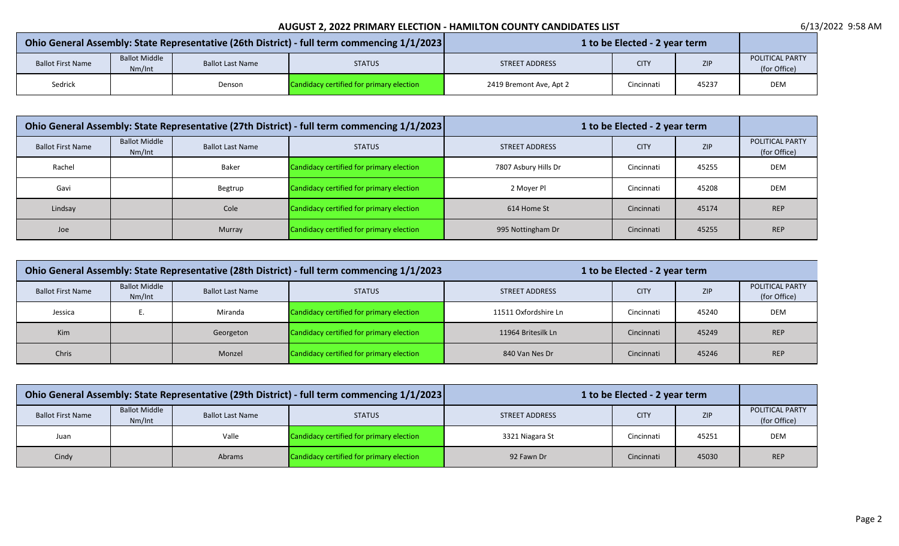| Ohio General Assembly: State Representative (26th District) - full term commencing 1/1/2023 |                                |                         |                                          | 1 to be Elected - 2 year term |                           |       |     |  |
|---------------------------------------------------------------------------------------------|--------------------------------|-------------------------|------------------------------------------|-------------------------------|---------------------------|-------|-----|--|
| <b>Ballot First Name</b>                                                                    | <b>Ballot Middle</b><br>Nm/Int | <b>Ballot Last Name</b> | <b>STATUS</b>                            | STREET ADDRESS                | <b>ZIP</b><br><b>CITY</b> |       |     |  |
| Sedrick                                                                                     |                                | Denson                  | Candidacy certified for primary election | 2419 Bremont Ave, Apt 2       | Cincinnati                | 45237 | DEM |  |

| Ohio General Assembly: State Representative (27th District) - full term commencing 1/1/2023 |                                |                         | 1 to be Elected - 2 year term            |                      |             |            |                                 |
|---------------------------------------------------------------------------------------------|--------------------------------|-------------------------|------------------------------------------|----------------------|-------------|------------|---------------------------------|
| <b>Ballot First Name</b>                                                                    | <b>Ballot Middle</b><br>Nm/Int | <b>Ballot Last Name</b> | <b>STATUS</b>                            | STREET ADDRESS       | <b>CITY</b> | <b>ZIP</b> | POLITICAL PARTY<br>(for Office) |
| Rachel                                                                                      |                                | <b>Baker</b>            | Candidacy certified for primary election | 7807 Asbury Hills Dr | Cincinnati  | 45255      | <b>DEM</b>                      |
| Gavi                                                                                        |                                | Begtrup                 | Candidacy certified for primary election | 2 Moyer Pl           | Cincinnati  | 45208      | <b>DEM</b>                      |
| Lindsay                                                                                     |                                | Cole                    | Candidacy certified for primary election | 614 Home St          | Cincinnati  | 45174      | <b>REP</b>                      |
| Joe                                                                                         |                                | Murray                  | Candidacy certified for primary election | 995 Nottingham Dr    | Cincinnati  | 45255      | <b>REP</b>                      |

| Ohio General Assembly: State Representative (28th District) - full term commencing 1/1/2023 |                                |                         |                                          | 1 to be Elected - 2 year term |             |            |                                 |  |
|---------------------------------------------------------------------------------------------|--------------------------------|-------------------------|------------------------------------------|-------------------------------|-------------|------------|---------------------------------|--|
| <b>Ballot First Name</b>                                                                    | <b>Ballot Middle</b><br>Nm/Int | <b>Ballot Last Name</b> | <b>STATUS</b>                            | <b>STREET ADDRESS</b>         | <b>CITY</b> | <b>ZIP</b> | POLITICAL PARTY<br>(for Office) |  |
| Jessica                                                                                     |                                | Miranda                 | Candidacy certified for primary election | 11511 Oxfordshire Ln          | Cincinnati  | 45240      | DEM                             |  |
| <b>Kim</b>                                                                                  |                                | Georgeton               | Candidacy certified for primary election | 11964 Britesilk Ln            | Cincinnati  | 45249      | <b>REP</b>                      |  |
| Chris                                                                                       |                                | Monzel                  | Candidacy certified for primary election | 840 Van Nes Dr                | Cincinnati  | 45246      | <b>REP</b>                      |  |

| Ohio General Assembly: State Representative (29th District) - full term commencing 1/1/2023 |                                |                         | 1 to be Elected - 2 year term            |                       |             |            |                                 |
|---------------------------------------------------------------------------------------------|--------------------------------|-------------------------|------------------------------------------|-----------------------|-------------|------------|---------------------------------|
| <b>Ballot First Name</b>                                                                    | <b>Ballot Middle</b><br>Nm/Int | <b>Ballot Last Name</b> | <b>STATUS</b>                            | <b>STREET ADDRESS</b> | <b>CITY</b> | <b>ZIP</b> | POLITICAL PARTY<br>(for Office) |
| Juan                                                                                        |                                | Valle                   | Candidacy certified for primary election | 3321 Niagara St       | Cincinnati  | 45251      | <b>DEM</b>                      |
| Cindy                                                                                       |                                | Abrams                  | Candidacy certified for primary election | 92 Fawn Dr            | Cincinnati  | 45030      | <b>REP</b>                      |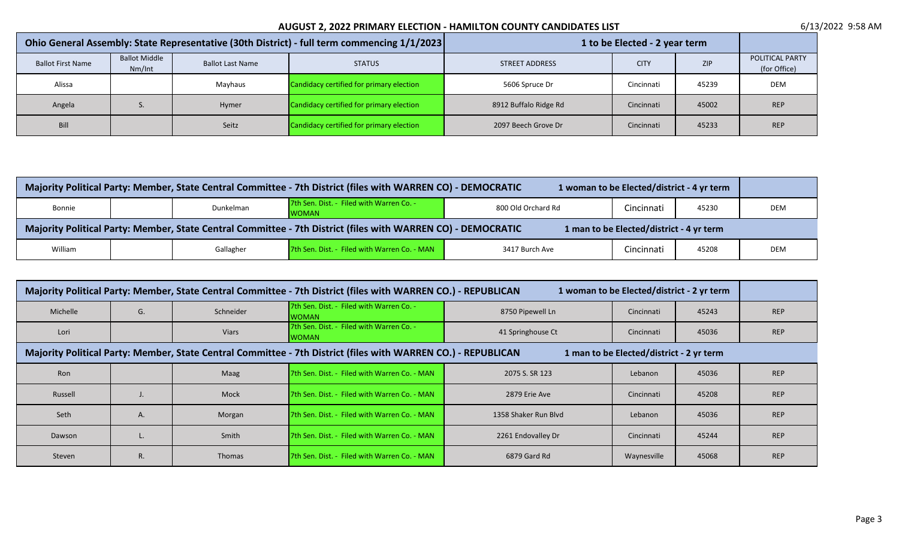| Ohio General Assembly: State Representative (30th District) - full term commencing 1/1/2023 |                                |                         | 1 to be Elected - 2 year term            |                       |             |            |                                 |
|---------------------------------------------------------------------------------------------|--------------------------------|-------------------------|------------------------------------------|-----------------------|-------------|------------|---------------------------------|
| <b>Ballot First Name</b>                                                                    | <b>Ballot Middle</b><br>Nm/Int | <b>Ballot Last Name</b> | <b>STATUS</b>                            | <b>STREET ADDRESS</b> | <b>CITY</b> | <b>ZIP</b> | POLITICAL PARTY<br>(for Office) |
| Alissa                                                                                      |                                | Mayhaus                 | Candidacy certified for primary election | 5606 Spruce Dr        | Cincinnati  | 45239      | <b>DEM</b>                      |
| Angela                                                                                      |                                | <b>Hymer</b>            | Candidacy certified for primary election | 8912 Buffalo Ridge Rd | Cincinnati  | 45002      | <b>REP</b>                      |
| Bill                                                                                        |                                | Seitz                   | Candidacy certified for primary election | 2097 Beech Grove Dr   | Cincinnati  | 45233      | <b>REP</b>                      |

| Majority Political Party: Member, State Central Committee - 7th District (files with WARREN CO) - DEMOCRATIC<br>1 woman to be Elected/district - 4 yr term |  |           |                                                          |                    |            |       |            |  |
|------------------------------------------------------------------------------------------------------------------------------------------------------------|--|-----------|----------------------------------------------------------|--------------------|------------|-------|------------|--|
| Bonnie                                                                                                                                                     |  | Dunkelman | 7th Sen. Dist. - Filed with Warren Co. -<br><b>WOMAN</b> | 800 Old Orchard Rd | Cincinnati | 45230 | <b>DEM</b> |  |
| Majority Political Party: Member, State Central Committee - 7th District (files with WARREN CO) - DEMOCRATIC<br>1 man to be Elected/district - 4 yr term   |  |           |                                                          |                    |            |       |            |  |
| 7th Sen. Dist. - Filed with Warren Co. - MAN<br>Cincinnati<br>Gallagher<br>3417 Burch Ave<br>William<br>45208<br><b>DEM</b>                                |  |           |                                                          |                    |            |       |            |  |

| Majority Political Party: Member, State Central Committee - 7th District (files with WARREN CO.) - REPUBLICAN<br>1 woman to be Elected/district - 2 yr term |    |               |                                                          |                      |             |       |            |
|-------------------------------------------------------------------------------------------------------------------------------------------------------------|----|---------------|----------------------------------------------------------|----------------------|-------------|-------|------------|
| Michelle                                                                                                                                                    | G. | Schneider     | 7th Sen. Dist. - Filed with Warren Co. -<br><b>WOMAN</b> | 8750 Pipewell Ln     | Cincinnati  | 45243 | <b>REP</b> |
| Lori                                                                                                                                                        |    | Viars         | 7th Sen. Dist. - Filed with Warren Co. -<br><b>WOMAN</b> | 41 Springhouse Ct    | Cincinnati  | 45036 | <b>REP</b> |
| Majority Political Party: Member, State Central Committee - 7th District (files with WARREN CO.) - REPUBLICAN<br>1 man to be Elected/district - 2 yr term   |    |               |                                                          |                      |             |       |            |
| Ron                                                                                                                                                         |    | Maag          | <b>I7th Sen. Dist. - Filed with Warren Co. - MAN</b>     | 2075 S. SR 123       | Lebanon     | 45036 | <b>REP</b> |
| Russell                                                                                                                                                     |    | Mock          | <b>I7th Sen. Dist. - Filed with Warren Co. - MAN</b>     | 2879 Erie Ave        | Cincinnati  | 45208 | <b>REP</b> |
| Seth                                                                                                                                                        | А. | Morgan        | <b>I7th Sen. Dist. - Filed with Warren Co. - MAN</b>     | 1358 Shaker Run Blyd | Lebanon     | 45036 | <b>REP</b> |
| Dawson                                                                                                                                                      |    | Smith         | 7th Sen. Dist. - Filed with Warren Co. - MAN             | 2261 Endovalley Dr   | Cincinnati  | 45244 | <b>REP</b> |
| Steven                                                                                                                                                      | R. | <b>Thomas</b> | <b>I7th Sen. Dist. - Filed with Warren Co. - MAN</b>     | 6879 Gard Rd         | Waynesville | 45068 | <b>REP</b> |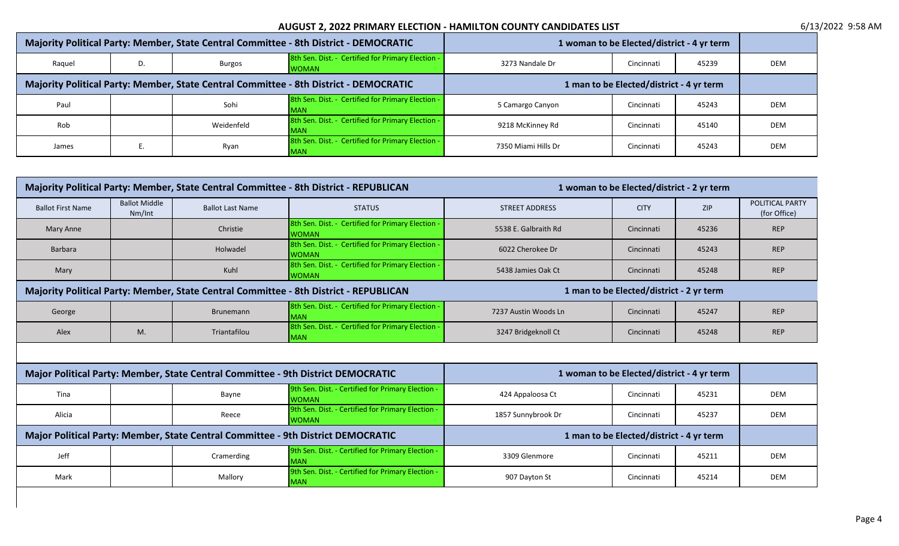|                                                                                       | Majority Political Party: Member, State Central Committee - 8th District - DEMOCRATIC |               |                                                                   |                     | 1 woman to be Elected/district - 4 yr term |       |            |
|---------------------------------------------------------------------------------------|---------------------------------------------------------------------------------------|---------------|-------------------------------------------------------------------|---------------------|--------------------------------------------|-------|------------|
| Raguel                                                                                | D.                                                                                    | <b>Burgos</b> | 8th Sen. Dist. - Certified for Primary Election -<br><b>WOMAN</b> | 3273 Nandale Dr     | Cincinnati                                 | 45239 | <b>DEM</b> |
| Majority Political Party: Member, State Central Committee - 8th District - DEMOCRATIC |                                                                                       |               | 1 man to be Elected/district - 4 yr term                          |                     |                                            |       |            |
| Paul                                                                                  |                                                                                       | Sohi          | 8th Sen. Dist. - Certified for Primary Election -<br><b>MAN</b>   | 5 Camargo Canyon    | Cincinnati                                 | 45243 | <b>DEM</b> |
| Rob                                                                                   |                                                                                       | Weidenfeld    | 8th Sen. Dist. - Certified for Primary Election -<br><b>MAN</b>   | 9218 McKinney Rd    | Cincinnati                                 | 45140 | <b>DEM</b> |
| James                                                                                 |                                                                                       | Ryan          | 8th Sen. Dist. - Certified for Primary Election -<br><b>MAN</b>   | 7350 Miami Hills Dr | Cincinnati                                 | 45243 | <b>DEM</b> |

| Majority Political Party: Member, State Central Committee - 8th District - REPUBLICAN |                                |                         |                                                                   |                                            | 1 woman to be Elected/district - 2 yr term |            | POLITICAL PARTY<br>(for Office) |  |  |  |
|---------------------------------------------------------------------------------------|--------------------------------|-------------------------|-------------------------------------------------------------------|--------------------------------------------|--------------------------------------------|------------|---------------------------------|--|--|--|
| <b>Ballot First Name</b>                                                              | <b>Ballot Middle</b><br>Nm/Int | <b>Ballot Last Name</b> | <b>STATUS</b>                                                     | <b>STREET ADDRESS</b>                      | <b>CITY</b>                                | <b>ZIP</b> |                                 |  |  |  |
| Mary Anne                                                                             |                                | Christie                | 8th Sen. Dist. - Certified for Primary Election -<br><b>WOMAN</b> | 5538 E. Galbraith Rd                       | Cincinnati                                 | 45236      | <b>REP</b>                      |  |  |  |
| Barbara                                                                               |                                | Holwadel                | 8th Sen. Dist. - Certified for Primary Election -<br><b>WOMAN</b> | 6022 Cherokee Dr                           | Cincinnati                                 | 45243      | <b>REP</b>                      |  |  |  |
| Mary                                                                                  |                                | Kuhl                    | 8th Sen. Dist. - Certified for Primary Election -<br><b>WOMAN</b> | 5438 Jamies Oak Ct                         | Cincinnati                                 | 45248      | <b>REP</b>                      |  |  |  |
| Majority Political Party: Member, State Central Committee - 8th District - REPUBLICAN |                                |                         |                                                                   | 1 man to be Elected/district - 2 yr term   |                                            |            |                                 |  |  |  |
| George                                                                                |                                | Brunemann               | 8th Sen. Dist. - Certified for Primary Election -<br><b>MAN</b>   | 7237 Austin Woods Ln                       | Cincinnati                                 | 45247      | <b>REP</b>                      |  |  |  |
| Alex                                                                                  | M.                             | Triantafilou            | 8th Sen. Dist. - Certified for Primary Election -<br><b>MAN</b>   | 3247 Bridgeknoll Ct                        | Cincinnati                                 | 45248      | <b>REP</b>                      |  |  |  |
|                                                                                       |                                |                         |                                                                   |                                            |                                            |            |                                 |  |  |  |
| Major Political Party: Member, State Central Committee - 9th District DEMOCRATIC      |                                |                         |                                                                   | 1 woman to be Elected/district - 4 yr term |                                            |            |                                 |  |  |  |
| Tina                                                                                  |                                | Bayne                   | 9th Sen. Dist. - Certified for Primary Election -<br><b>WOMAN</b> | 424 Appaloosa Ct                           | Cincinnati                                 | 45231      | <b>DEM</b>                      |  |  |  |
| Alicia                                                                                |                                | Reece                   | 9th Sen. Dist. - Certified for Primary Election -<br><b>WOMAN</b> | 1857 Sunnybrook Dr                         | Cincinnati                                 | 45237      | <b>DEM</b>                      |  |  |  |
| Major Political Party: Member, State Central Committee - 9th District DEMOCRATIC      |                                |                         |                                                                   | 1 man to be Elected/district - 4 yr term   |                                            |            |                                 |  |  |  |
| Jeff                                                                                  |                                | Cramerding              | 9th Sen. Dist. - Certified for Primary Election -<br><b>MAN</b>   | 3309 Glenmore                              | Cincinnati                                 | 45211      | <b>DEM</b>                      |  |  |  |
| Mark                                                                                  |                                | Mallory                 | 9th Sen. Dist. - Certified for Primary Election -<br><b>MAN</b>   | 907 Dayton St                              | Cincinnati                                 | 45214      | <b>DEM</b>                      |  |  |  |